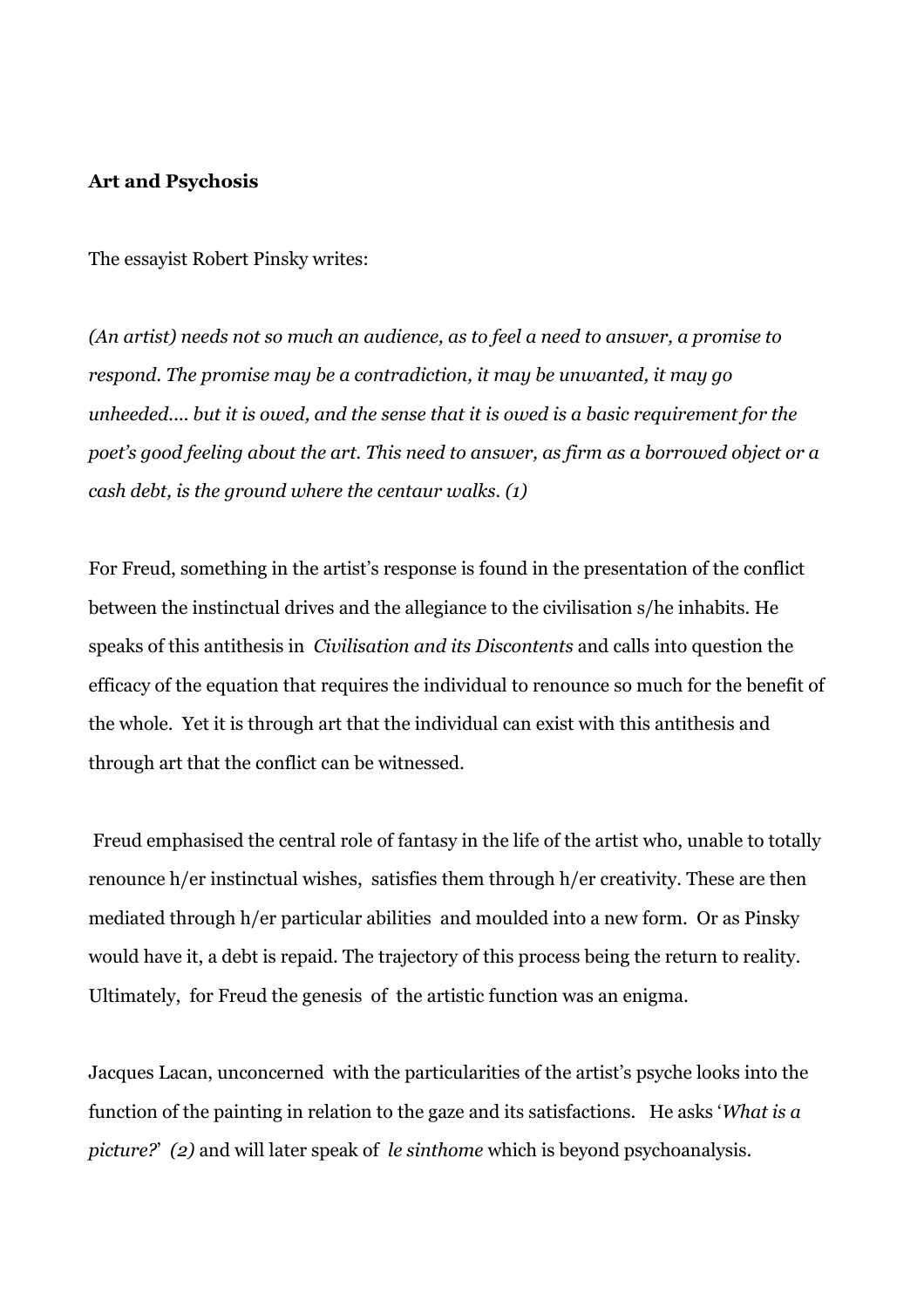#### Art and Psychosis

The essayist Robert Pinsky writes:

(An artist) needs not so much an audience, as to feel a need to answer, a promise to respond. The promise may be a contradiction, it may be unwanted, it may go unheeded.... but it is owed, and the sense that it is owed is a basic requirement for the poet's good feeling about the art. This need to answer, as firm as a borrowed object or a cash debt, is the ground where the centaur walks. (1)

For Freud, something in the artist's response is found in the presentation of the conflict between the instinctual drives and the allegiance to the civilisation s/he inhabits. He speaks of this antithesis in Civilisation and its Discontents and calls into question the efficacy of the equation that requires the individual to renounce so much for the benefit of the whole. Yet it is through art that the individual can exist with this antithesis and through art that the conflict can be witnessed.

 Freud emphasised the central role of fantasy in the life of the artist who, unable to totally renounce h/er instinctual wishes, satisfies them through h/er creativity. These are then mediated through h/er particular abilities and moulded into a new form. Or as Pinsky would have it, a debt is repaid. The trajectory of this process being the return to reality. Ultimately, for Freud the genesis of the artistic function was an enigma.

Jacques Lacan, unconcerned with the particularities of the artist's psyche looks into the function of the painting in relation to the gaze and its satisfactions. He asks 'What is a picture?' (2) and will later speak of le sinthome which is beyond psychoanalysis.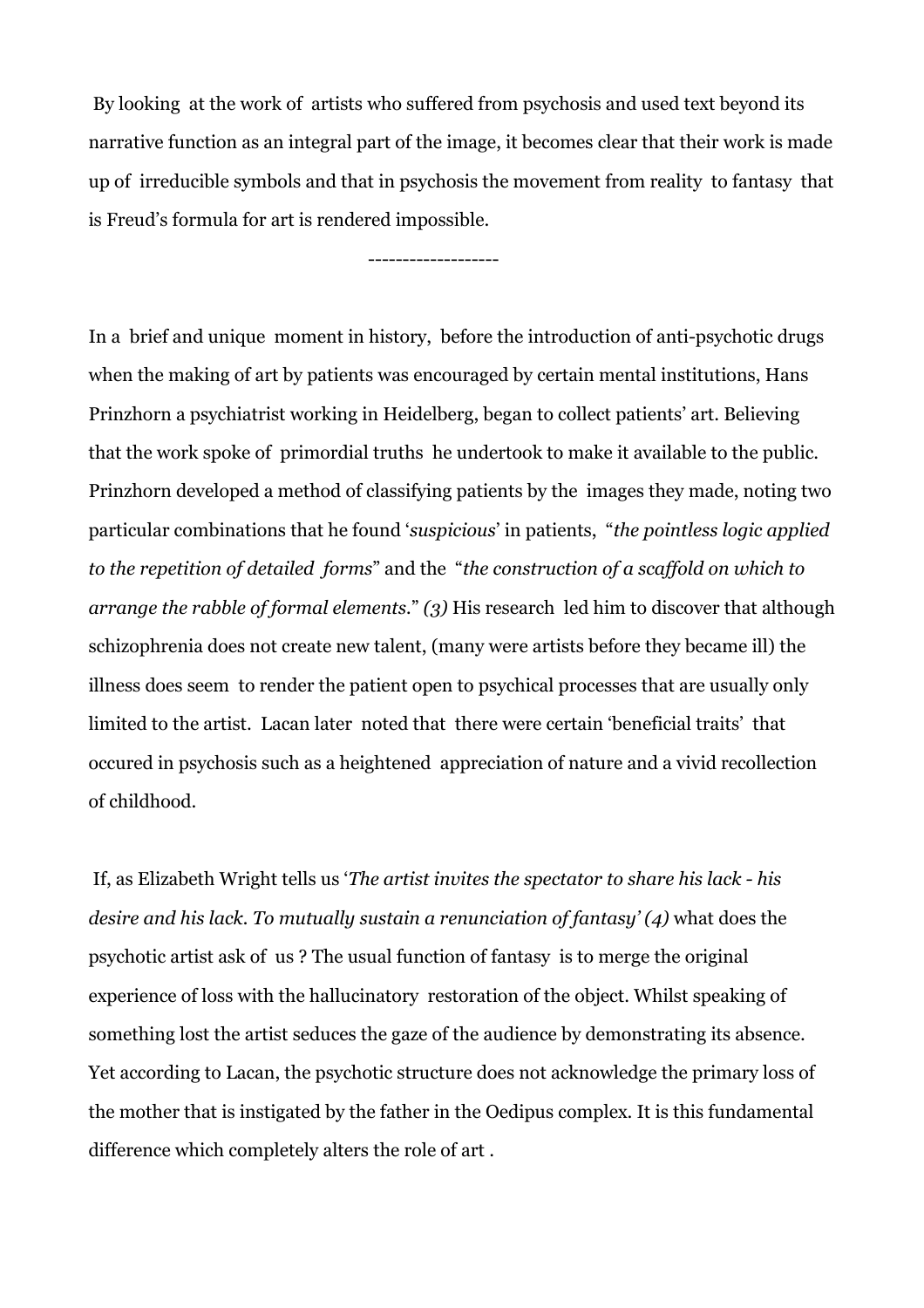By looking at the work of artists who suffered from psychosis and used text beyond its narrative function as an integral part of the image, it becomes clear that their work is made up of irreducible symbols and that in psychosis the movement from reality to fantasy that is Freud's formula for art is rendered impossible.

-------------------

In a brief and unique moment in history, before the introduction of anti-psychotic drugs when the making of art by patients was encouraged by certain mental institutions, Hans Prinzhorn a psychiatrist working in Heidelberg, began to collect patients' art. Believing that the work spoke of primordial truths he undertook to make it available to the public. Prinzhorn developed a method of classifying patients by the images they made, noting two particular combinations that he found 'suspicious' in patients, "the pointless logic applied to the repetition of detailed forms" and the "the construction of a scaffold on which to arrange the rabble of formal elements." (3) His research led him to discover that although schizophrenia does not create new talent, (many were artists before they became ill) the illness does seem to render the patient open to psychical processes that are usually only limited to the artist. Lacan later noted that there were certain 'beneficial traits' that occured in psychosis such as a heightened appreciation of nature and a vivid recollection of childhood.

 If, as Elizabeth Wright tells us 'The artist invites the spectator to share his lack - his desire and his lack. To mutually sustain a renunciation of fantasy' (4) what does the psychotic artist ask of us ? The usual function of fantasy is to merge the original experience of loss with the hallucinatory restoration of the object. Whilst speaking of something lost the artist seduces the gaze of the audience by demonstrating its absence. Yet according to Lacan, the psychotic structure does not acknowledge the primary loss of the mother that is instigated by the father in the Oedipus complex. It is this fundamental difference which completely alters the role of art .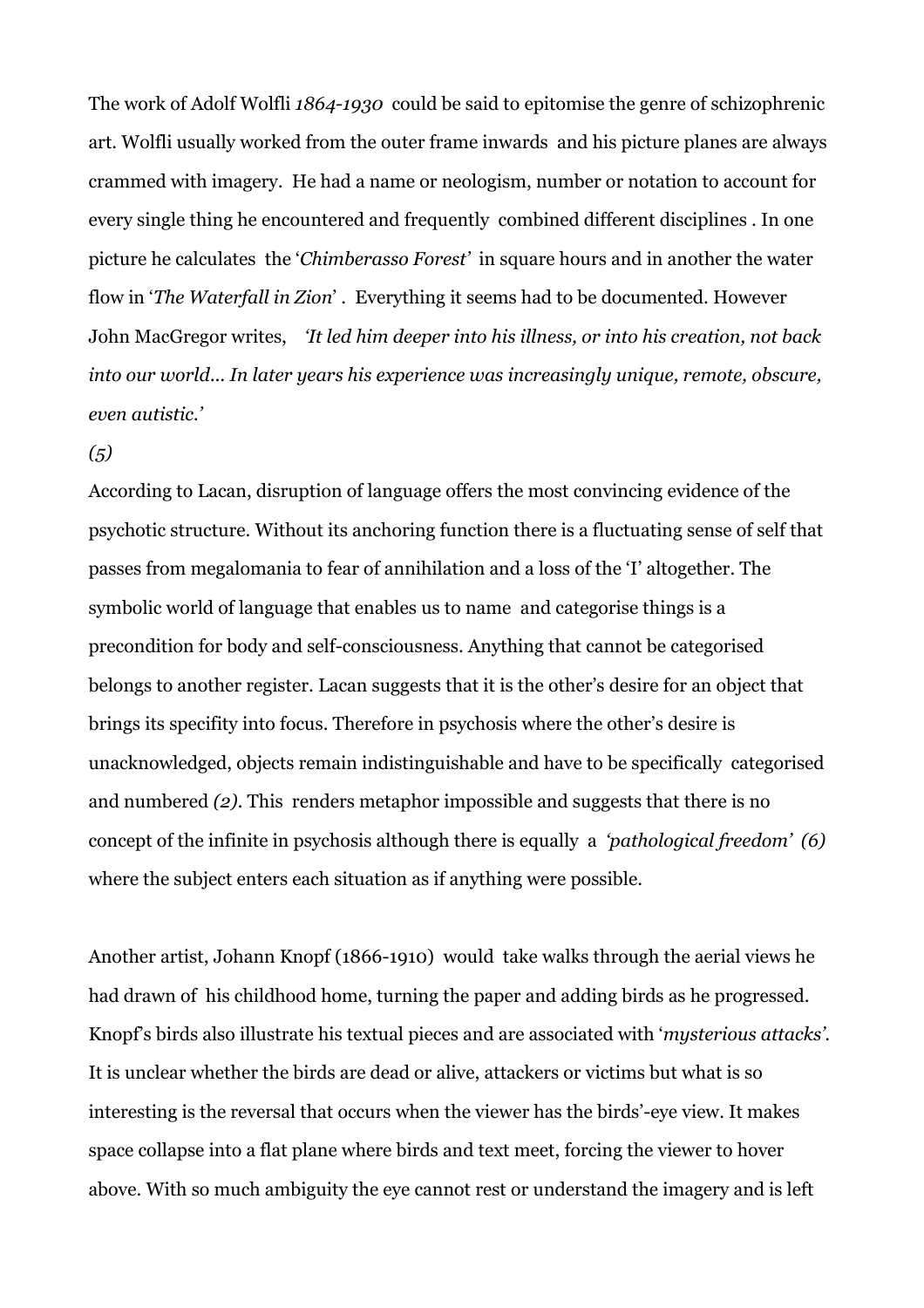The work of Adolf Wolfli 1864-1930 could be said to epitomise the genre of schizophrenic art. Wolfli usually worked from the outer frame inwards and his picture planes are always crammed with imagery. He had a name or neologism, number or notation to account for every single thing he encountered and frequently combined different disciplines . In one picture he calculates the 'Chimberasso Forest' in square hours and in another the water flow in 'The Waterfall in Zion' . Everything it seems had to be documented. However John MacGregor writes, 'It led him deeper into his illness, or into his creation, not back into our world... In later years his experience was increasingly unique, remote, obscure, even autistic.'

# $(5)$

According to Lacan, disruption of language offers the most convincing evidence of the psychotic structure. Without its anchoring function there is a fluctuating sense of self that passes from megalomania to fear of annihilation and a loss of the 'I' altogether. The symbolic world of language that enables us to name and categorise things is a precondition for body and self-consciousness. Anything that cannot be categorised belongs to another register. Lacan suggests that it is the other's desire for an object that brings its specifity into focus. Therefore in psychosis where the other's desire is unacknowledged, objects remain indistinguishable and have to be specifically categorised and numbered (2). This renders metaphor impossible and suggests that there is no concept of the infinite in psychosis although there is equally a 'pathological freedom' (6) where the subject enters each situation as if anything were possible.

Another artist, Johann Knopf (1866-1910) would take walks through the aerial views he had drawn of his childhood home, turning the paper and adding birds as he progressed. Knopf's birds also illustrate his textual pieces and are associated with 'mysterious attacks'. It is unclear whether the birds are dead or alive, attackers or victims but what is so interesting is the reversal that occurs when the viewer has the birds'-eye view. It makes space collapse into a flat plane where birds and text meet, forcing the viewer to hover above. With so much ambiguity the eye cannot rest or understand the imagery and is left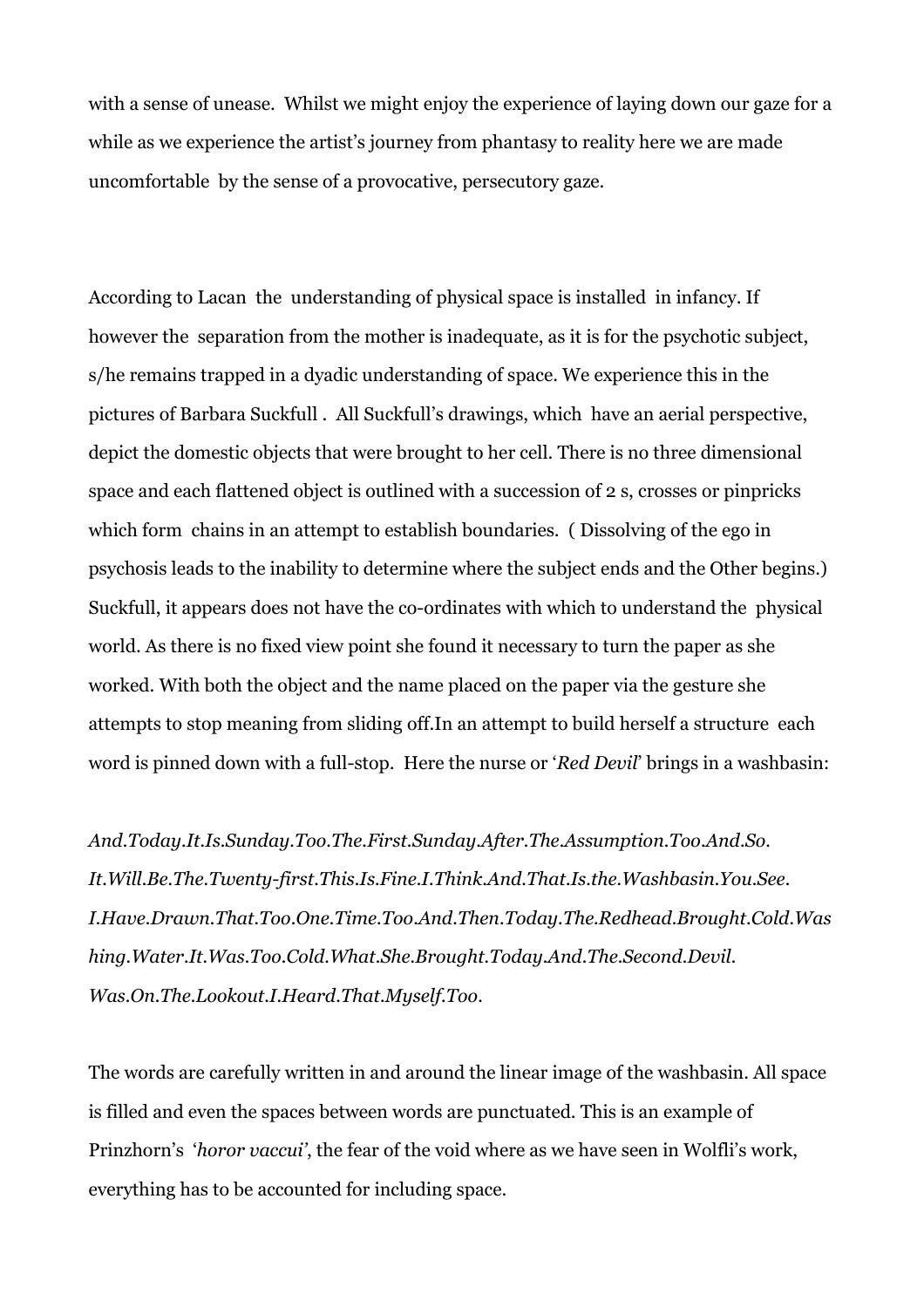with a sense of unease. Whilst we might enjoy the experience of laying down our gaze for a while as we experience the artist's journey from phantasy to reality here we are made uncomfortable by the sense of a provocative, persecutory gaze.

According to Lacan the understanding of physical space is installed in infancy. If however the separation from the mother is inadequate, as it is for the psychotic subject, s/he remains trapped in a dyadic understanding of space. We experience this in the pictures of Barbara Suckfull . All Suckfull's drawings, which have an aerial perspective, depict the domestic objects that were brought to her cell. There is no three dimensional space and each flattened object is outlined with a succession of 2 s, crosses or pinpricks which form chains in an attempt to establish boundaries. ( Dissolving of the ego in psychosis leads to the inability to determine where the subject ends and the Other begins.) Suckfull, it appears does not have the co-ordinates with which to understand the physical world. As there is no fixed view point she found it necessary to turn the paper as she worked. With both the object and the name placed on the paper via the gesture she attempts to stop meaning from sliding off.In an attempt to build herself a structure each word is pinned down with a full-stop. Here the nurse or 'Red Devil' brings in a washbasin:

And.Today.It.Is.Sunday.Too.The.First.Sunday.After.The.Assumption.Too.And.So. It.Will.Be.The.Twenty-first.This.Is.Fine.I.Think.And.That.Is.the.Washbasin.You.See. I.Have.Drawn.That.Too.One.Time.Too.And.Then.Today.The.Redhead.Brought.Cold.Was hing.Water.It.Was.Too.Cold.What.She.Brought.Today.And.The.Second.Devil. Was.On.The.Lookout.I.Heard.That.Myself.Too.

The words are carefully written in and around the linear image of the washbasin. All space is filled and even the spaces between words are punctuated. This is an example of Prinzhorn's 'horor vaccui', the fear of the void where as we have seen in Wolfli's work, everything has to be accounted for including space.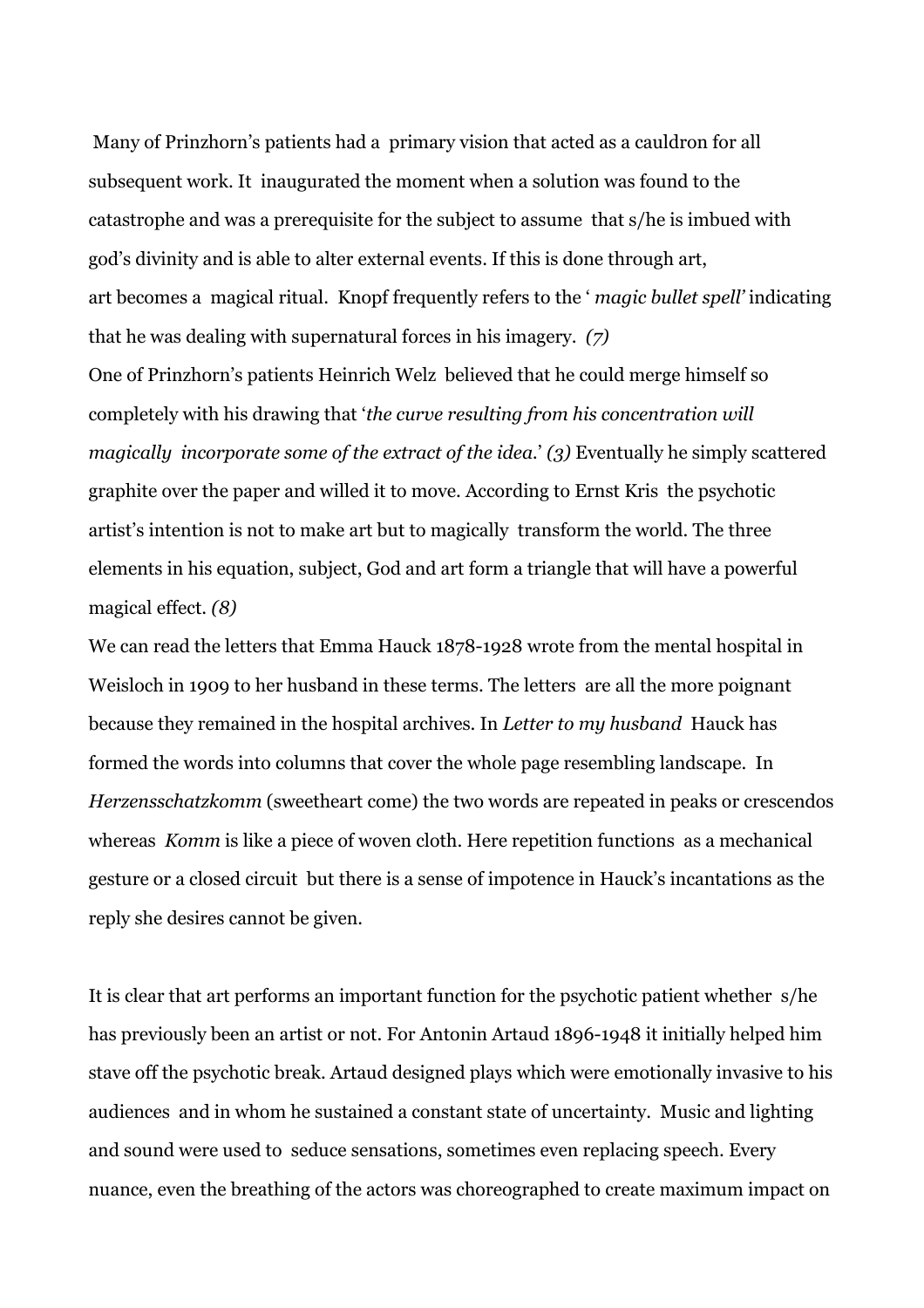Many of Prinzhorn's patients had a primary vision that acted as a cauldron for all subsequent work. It inaugurated the moment when a solution was found to the catastrophe and was a prerequisite for the subject to assume that s/he is imbued with god's divinity and is able to alter external events. If this is done through art, art becomes a magical ritual. Knopf frequently refers to the ' magic bullet spell' indicating that he was dealing with supernatural forces in his imagery. (7)

One of Prinzhorn's patients Heinrich Welz believed that he could merge himself so completely with his drawing that 'the curve resulting from his concentration will magically incorporate some of the extract of the idea.' (3) Eventually he simply scattered graphite over the paper and willed it to move. According to Ernst Kris the psychotic artist's intention is not to make art but to magically transform the world. The three elements in his equation, subject, God and art form a triangle that will have a powerful magical effect. (8)

We can read the letters that Emma Hauck 1878-1928 wrote from the mental hospital in Weisloch in 1909 to her husband in these terms. The letters are all the more poignant because they remained in the hospital archives. In Letter to my husband Hauck has formed the words into columns that cover the whole page resembling landscape. In Herzensschatzkomm (sweetheart come) the two words are repeated in peaks or crescendos whereas Komm is like a piece of woven cloth. Here repetition functions as a mechanical gesture or a closed circuit but there is a sense of impotence in Hauck's incantations as the reply she desires cannot be given.

It is clear that art performs an important function for the psychotic patient whether s/he has previously been an artist or not. For Antonin Artaud 1896-1948 it initially helped him stave off the psychotic break. Artaud designed plays which were emotionally invasive to his audiences and in whom he sustained a constant state of uncertainty. Music and lighting and sound were used to seduce sensations, sometimes even replacing speech. Every nuance, even the breathing of the actors was choreographed to create maximum impact on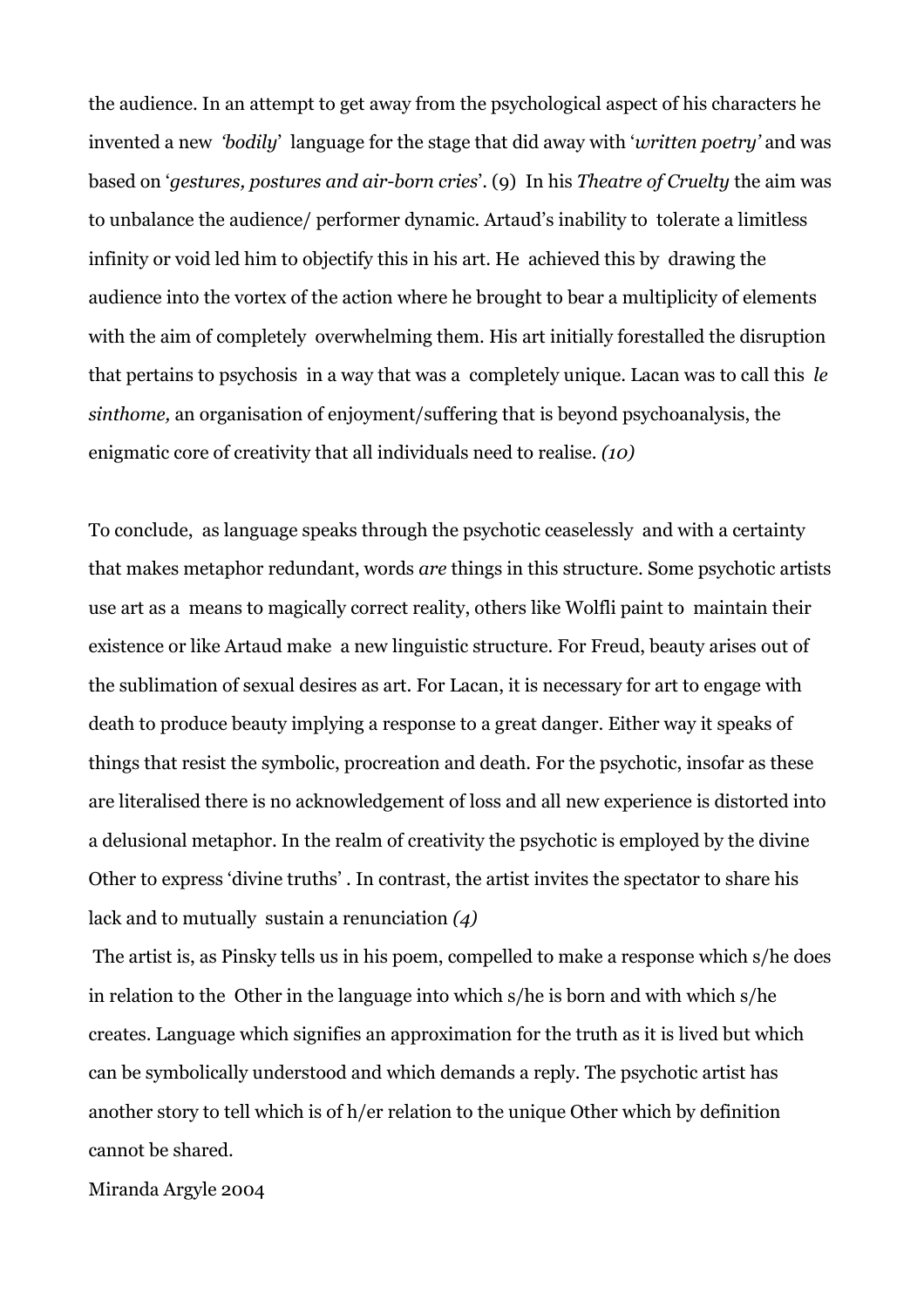the audience. In an attempt to get away from the psychological aspect of his characters he invented a new 'bodily' language for the stage that did away with 'written poetry' and was based on 'gestures, postures and air-born cries'. (9) In his Theatre of Cruelty the aim was to unbalance the audience/ performer dynamic. Artaud's inability to tolerate a limitless infinity or void led him to objectify this in his art. He achieved this by drawing the audience into the vortex of the action where he brought to bear a multiplicity of elements with the aim of completely overwhelming them. His art initially forestalled the disruption that pertains to psychosis in a way that was a completely unique. Lacan was to call this le sinthome, an organisation of enjoyment/suffering that is beyond psychoanalysis, the enigmatic core of creativity that all individuals need to realise. (10)

To conclude, as language speaks through the psychotic ceaselessly and with a certainty that makes metaphor redundant, words are things in this structure. Some psychotic artists use art as a means to magically correct reality, others like Wolfli paint to maintain their existence or like Artaud make a new linguistic structure. For Freud, beauty arises out of the sublimation of sexual desires as art. For Lacan, it is necessary for art to engage with death to produce beauty implying a response to a great danger. Either way it speaks of things that resist the symbolic, procreation and death. For the psychotic, insofar as these are literalised there is no acknowledgement of loss and all new experience is distorted into a delusional metaphor. In the realm of creativity the psychotic is employed by the divine Other to express 'divine truths' . In contrast, the artist invites the spectator to share his lack and to mutually sustain a renunciation (4)

 The artist is, as Pinsky tells us in his poem, compelled to make a response which s/he does in relation to the Other in the language into which s/he is born and with which s/he creates. Language which signifies an approximation for the truth as it is lived but which can be symbolically understood and which demands a reply. The psychotic artist has another story to tell which is of h/er relation to the unique Other which by definition cannot be shared.

Miranda Argyle 2004